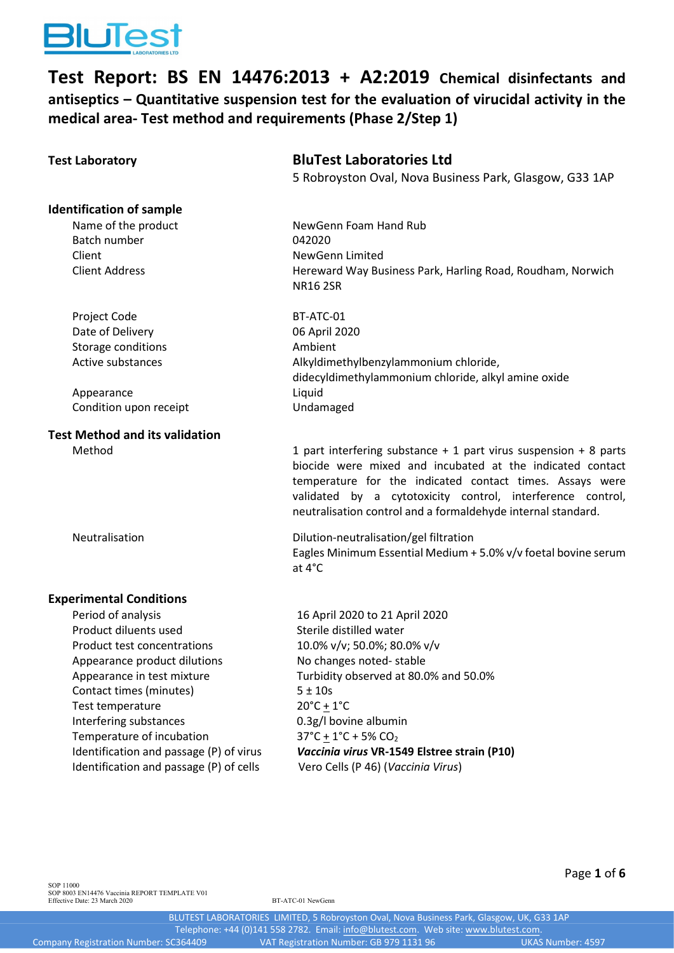

**Test Report: BS EN 14476:2013 + A2:2019 Chemical disinfectants and antiseptics – Quantitative suspension test for the evaluation of virucidal activity in the medical area- Test method and requirements (Phase 2/Step 1)**

| <b>Test Laboratory</b>                  | <b>BluTest Laboratories Ltd</b><br>5 Robroyston Oval, Nova Business Park, Glasgow, G33 1AP                                                                                                                                                                                                                                  |
|-----------------------------------------|-----------------------------------------------------------------------------------------------------------------------------------------------------------------------------------------------------------------------------------------------------------------------------------------------------------------------------|
| <b>Identification of sample</b>         |                                                                                                                                                                                                                                                                                                                             |
| Name of the product                     | NewGenn Foam Hand Rub                                                                                                                                                                                                                                                                                                       |
| Batch number                            | 042020                                                                                                                                                                                                                                                                                                                      |
| Client                                  | NewGenn Limited                                                                                                                                                                                                                                                                                                             |
| <b>Client Address</b>                   | Hereward Way Business Park, Harling Road, Roudham, Norwich<br><b>NR16 2SR</b>                                                                                                                                                                                                                                               |
| Project Code                            | BT-ATC-01                                                                                                                                                                                                                                                                                                                   |
| Date of Delivery                        | 06 April 2020                                                                                                                                                                                                                                                                                                               |
| Storage conditions                      | Ambient                                                                                                                                                                                                                                                                                                                     |
| Active substances                       | Alkyldimethylbenzylammonium chloride,                                                                                                                                                                                                                                                                                       |
|                                         | didecyldimethylammonium chloride, alkyl amine oxide                                                                                                                                                                                                                                                                         |
| Appearance                              | Liquid                                                                                                                                                                                                                                                                                                                      |
| Condition upon receipt                  | Undamaged                                                                                                                                                                                                                                                                                                                   |
| <b>Test Method and its validation</b>   |                                                                                                                                                                                                                                                                                                                             |
| Method                                  | 1 part interfering substance $+$ 1 part virus suspension $+$ 8 parts<br>biocide were mixed and incubated at the indicated contact<br>temperature for the indicated contact times. Assays were<br>validated by a cytotoxicity control, interference control,<br>neutralisation control and a formaldehyde internal standard. |
| Neutralisation                          | Dilution-neutralisation/gel filtration<br>Eagles Minimum Essential Medium + 5.0% v/v foetal bovine serum<br>at 4°C                                                                                                                                                                                                          |
| <b>Experimental Conditions</b>          |                                                                                                                                                                                                                                                                                                                             |
| Period of analysis                      | 16 April 2020 to 21 April 2020                                                                                                                                                                                                                                                                                              |
| Product diluents used                   | Sterile distilled water                                                                                                                                                                                                                                                                                                     |
| Product test concentrations             | 10.0% v/v; 50.0%; 80.0% v/v                                                                                                                                                                                                                                                                                                 |
| Appearance product dilutions            | No changes noted-stable                                                                                                                                                                                                                                                                                                     |
| Appearance in test mixture              | Turbidity observed at 80.0% and 50.0%                                                                                                                                                                                                                                                                                       |
| Contact times (minutes)                 | $5 + 10s$                                                                                                                                                                                                                                                                                                                   |
| Test temperature                        | $20^{\circ}$ C + $1^{\circ}$ C                                                                                                                                                                                                                                                                                              |
| Interfering substances                  | 0.3g/l bovine albumin                                                                                                                                                                                                                                                                                                       |
| Temperature of incubation               | $37^{\circ}$ C + 1 $^{\circ}$ C + 5% CO <sub>2</sub>                                                                                                                                                                                                                                                                        |
| Identification and passage (P) of virus | Vaccinia virus VR-1549 Elstree strain (P10)                                                                                                                                                                                                                                                                                 |
| Identification and passage (P) of cells | Vero Cells (P 46) (Vaccinia Virus)                                                                                                                                                                                                                                                                                          |
|                                         |                                                                                                                                                                                                                                                                                                                             |

Page **1** of **6**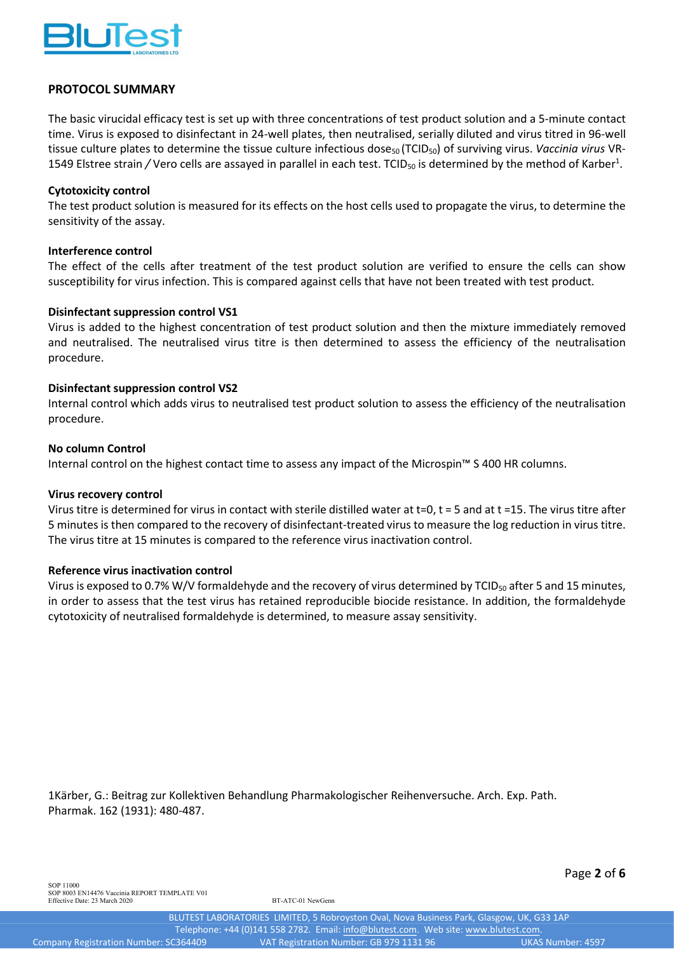

## **PROTOCOL SUMMARY**

The basic virucidal efficacy test is set up with three concentrations of test product solution and a 5-minute contact time. Virus is exposed to disinfectant in 24-well plates, then neutralised, serially diluted and virus titred in 96-well tissue culture plates to determine the tissue culture infectious dose<sub>50</sub> (TCID<sub>50</sub>) of surviving virus. *Vaccinia virus* VR-1549 Elstree strain / Vero cells are assayed in parallel in each test. TCID<sub>50</sub> is determined by the method of Karber<sup>1</sup>.

## **Cytotoxicity control**

The test product solution is measured for its effects on the host cells used to propagate the virus, to determine the sensitivity of the assay.

## **Interference control**

The effect of the cells after treatment of the test product solution are verified to ensure the cells can show susceptibility for virus infection. This is compared against cells that have not been treated with test product.

## **Disinfectant suppression control VS1**

Virus is added to the highest concentration of test product solution and then the mixture immediately removed and neutralised. The neutralised virus titre is then determined to assess the efficiency of the neutralisation procedure.

## **Disinfectant suppression control VS2**

Internal control which adds virus to neutralised test product solution to assess the efficiency of the neutralisation procedure.

## **No column Control**

Internal control on the highest contact time to assess any impact of the Microspin™ S 400 HR columns.

## **Virus recovery control**

Virus titre is determined for virus in contact with sterile distilled water at t=0, t = 5 and at t =15. The virus titre after 5 minutes is then compared to the recovery of disinfectant-treated virus to measure the log reduction in virus titre. The virus titre at 15 minutes is compared to the reference virus inactivation control.

## **Reference virus inactivation control**

Virus is exposed to 0.7% W/V formaldehyde and the recovery of virus determined by TCID<sub>50</sub> after 5 and 15 minutes, in order to assess that the test virus has retained reproducible biocide resistance. In addition, the formaldehyde cytotoxicity of neutralised formaldehyde is determined, to measure assay sensitivity.

1Kärber, G.: Beitrag zur Kollektiven Behandlung Pharmakologischer Reihenversuche. Arch. Exp. Path. Pharmak. 162 (1931): 480-487.

Page **2** of **6**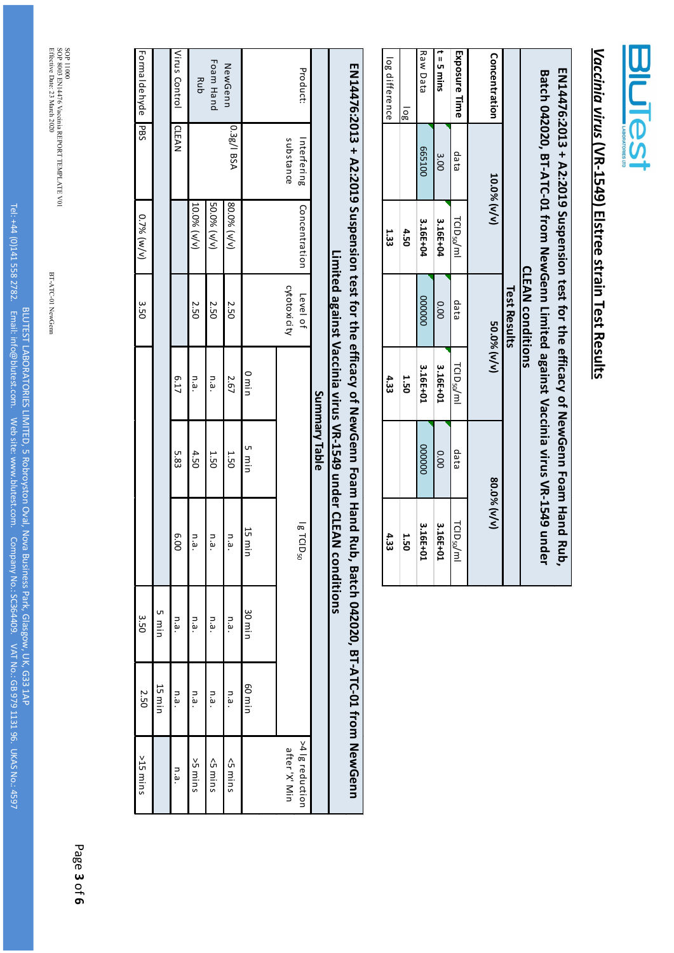

## Vaccinia virus (VR-1549) Elstree strain Test Results *Vaccinia virus* **(VR-1549) Elstree strain Test Results**

|                 |             |                        | <b>CLEAN conditions</b> |                        | EN14476:2013 + A2:2019 Suspension test for the efficacy of NewGenn Foam Hand Rub,<br>Batch 042020, BT-ATC-01 from NewGenn Limited against Vaccinia virus VR-1549 under |                        |
|-----------------|-------------|------------------------|-------------------------|------------------------|------------------------------------------------------------------------------------------------------------------------------------------------------------------------|------------------------|
|                 |             |                        | <b>Test Results</b>     |                        |                                                                                                                                                                        |                        |
| Concentration   | 10.0% (v/v) |                        | 50.0% (v/v)             |                        |                                                                                                                                                                        | 80.0% (v/v)            |
| Exposure Time   | ea ep       | TCID <sub>50</sub> /ml | data                    | TCID <sub>50</sub> /ml | qata                                                                                                                                                                   | TCID <sub>50</sub> /ml |
| $t = 5$ mins    | 3.00        | 3.16E+04               | 0.00                    | 3.16E+01               | 0.00                                                                                                                                                                   | 3.16E+01               |
| <b>Raw Data</b> | 002100      | 3.16E+04               | 000000                  | 3.16E+01               | 000000                                                                                                                                                                 | 3.16E+01               |
| log             |             | 4.50                   |                         | <b>1.50</b>            |                                                                                                                                                                        | <b>J.50</b>            |
| log difference  |             | 1.33                   |                         | 4.33                   |                                                                                                                                                                        | 4.33                   |
|                 |             |                        |                         |                        |                                                                                                                                                                        |                        |

|               |                          | ENIA42:2013 + N2:2019 Suspension test for the efficacy of New Gena Haun Hand Rup |                          |       |                                                                     |                         | , Batch 042020, BT-ATC-01 from NewGenn |         |                                  |
|---------------|--------------------------|----------------------------------------------------------------------------------|--------------------------|-------|---------------------------------------------------------------------|-------------------------|----------------------------------------|---------|----------------------------------|
|               |                          |                                                                                  |                          |       | Limited against Vaccinia virus VR-1549 under CLEAN<br>Summary Table | conditions              |                                        |         |                                  |
|               |                          |                                                                                  |                          |       |                                                                     |                         |                                        |         |                                  |
| Product:      | substance<br>Interfering | Concentration                                                                    | cytotoxicity<br>Level of |       |                                                                     | $1g$ TCID <sub>50</sub> |                                        |         | >4  g reduction<br>after 'X' Min |
|               |                          |                                                                                  |                          |       |                                                                     |                         |                                        |         |                                  |
|               |                          |                                                                                  |                          | o min | nim 2                                                               | 15 min                  | 30 min                                 | nim 09  |                                  |
| NewGenn       | 0.3g/l BSA               | 80.0% (v/v)                                                                      | <b>2.50</b>              | 2.67  | <b>1.50</b>                                                         | n.a.                    | n.a.                                   | n.a.    | <5 mins                          |
| Foam Hand     |                          | 50.0% (v/v)                                                                      | 2.50                     | n.a.  | <b>1.50</b>                                                         | n.a.                    | n.a.                                   | م.<br>م | <5 mins                          |
| Rub           |                          | 10.0% (v/v)                                                                      | <b>2.50</b>              | n.a.  | 4.50                                                                | n.a.                    | n.a.                                   | n.a.    | suim <sub>5</sub> <              |
| Virus Control | <b>LEAN</b>              |                                                                                  |                          | 6.17  | 5.83                                                                | 00.9                    | n.a.                                   | n.a.    | n.a.                             |

SOP 11000<br>SOP 8003 EN14476 Vaccinia REPORT TEMPLATE V01<br>Effective Date: 23 March 2020 SOP 11000 8003 EN14476 Vaccinia REPORT TEMPLATE V01 Effective Date: 23 March 2020

Formaldehyde PBS

Formaldehyde PBS

0.7% (w/v)

3.50

Page **3** of **6** 5 min

3.50

2.50

>15 mins

 $>15$  mins

15 min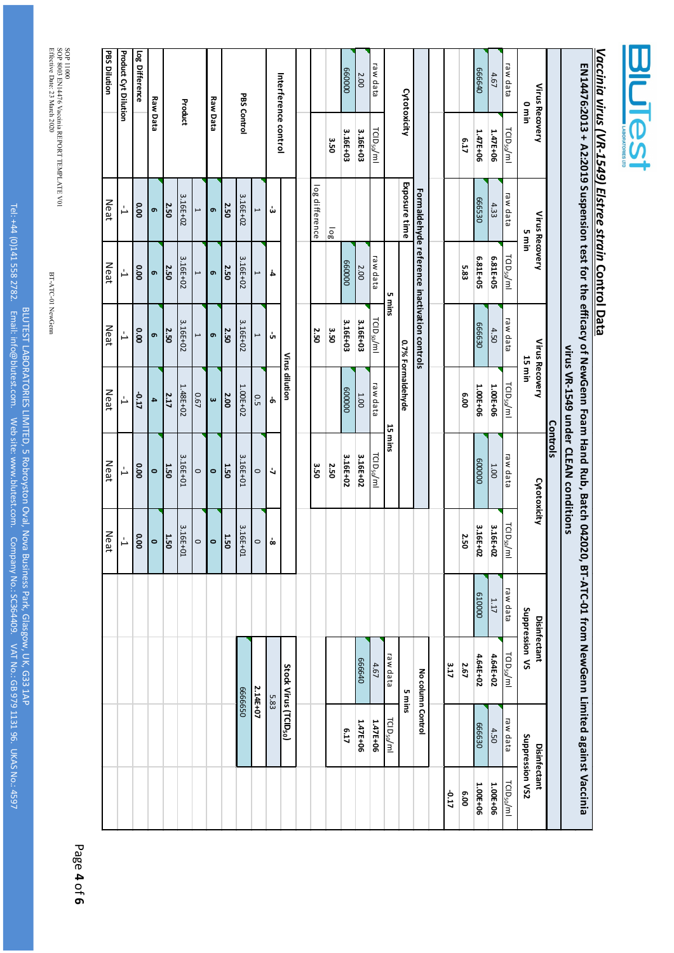| <b>LABOHU</b> |  |
|---------------|--|
|               |  |

# Vaccinia virus (VR-1949) Elstree strain Control Data *Vaccinia virus (VR-1549) Elstree strain* **Control Data**

| <b>Product Cyt Dilution</b>        | Log Difference | <b>Raw Data</b> |             | Product  |                | <b>Raw Data</b> |      | PBS Control |                          |                      | Interference control              |                |      | 00009              | 2.00     | raw data               |                         | Cytotoxicity      |                                              |       |      | 0t9999   | 4.67     | raw data                         | uin 0               | Virus Recovery |          |                                      |                                                                                                |  |
|------------------------------------|----------------|-----------------|-------------|----------|----------------|-----------------|------|-------------|--------------------------|----------------------|-----------------------------------|----------------|------|--------------------|----------|------------------------|-------------------------|-------------------|----------------------------------------------|-------|------|----------|----------|----------------------------------|---------------------|----------------|----------|--------------------------------------|------------------------------------------------------------------------------------------------|--|
|                                    |                |                 |             |          |                |                 |      |             |                          |                      |                                   |                | 3.50 | 3.16E+03           | 3.16E+03 | TCID <sub>50</sub> /ml |                         |                   |                                              |       | E.17 | 1.47E+06 | 1.47E+06 | TCID <sub>50</sub> /ml           |                     |                |          |                                      |                                                                                                |  |
| Ļ,                                 | 000            | თ,              | 2.50        | 3.16E+02 | $\overline{ }$ | ഐ               | 2.50 | 3.16E+02    | $\overline{\phantom{0}}$ | ݭ                    |                                   | log difference | 10g  |                    |          |                        |                         | Exposure time     |                                              |       |      | 02599    | 4.33     | raw data                         | uiu                 | Virus Recovery |          |                                      |                                                                                                |  |
| Ļ                                  | 0.00           | ō               | 2.50        | 3.16E+02 | $\overline{ }$ | ഐ               | 2.50 | 3.16E+02    | $\overline{\phantom{0}}$ | 4                    |                                   |                |      | 00009              | 2.00     | raw data               | 5 mins                  |                   |                                              |       | 5.83 | 6.81E+05 | 6.81E+05 | TCI D <sub>50</sub> /ml          |                     |                |          |                                      |                                                                                                |  |
| Ļ                                  | 00.00          | თ,              | 2.50        | 3.16E+02 | $\overline{a}$ | ഐ               | 2.50 | 3.16E+02    | $\overline{\phantom{0}}$ | Ġ,                   |                                   | 2.50           | 3.50 | 3.16E+03           | 3.16E+03 | TCID <sub>50</sub> /ml |                         |                   | Formaldehyde reference inactivation controls |       |      | 02999    | 4.50     | raw data                         | 15 min              | Virus Recovery |          |                                      |                                                                                                |  |
| Ļ                                  | -0.17          | 4               | 2.17        | 1.48E+02 | 0.67           | $\pmb{\omega}$  | 2.00 | $1.00E+02$  | 0.5                      | Ⴛ                    | Virus dilution                    |                |      | $\overline{00009}$ | 1.00     | raw data               |                         | 0.7% Formaldehyde |                                              |       | 00'9 | 1.00E+06 | 1.00E+06 | TCID <sub>50</sub> /ml           |                     |                |          |                                      |                                                                                                |  |
| Ļ                                  | 000            | $\circ$         | 1.50        | 3.16E+01 | $\circ$        | $\circ$         | 1.50 | 3.16E+01    | $\circ$                  | $\ddot{\phantom{a}}$ |                                   | 3.50           | 2.50 | 3.16E+02           | 3.16E+02 | ra D <sub>50</sub> /ml | 15 mins                 |                   |                                              |       |      | 000009   | 1.00     | raw data                         |                     | Cytotoxicity   | Controls | virus VR-1540 under CLEAN conditions | EN14476:2013 + A2:2019 Suspension test for the efficacy of NewGenn Foam Hand Rub, Batch 042020 |  |
| $\overset{\iota}{\rightharpoonup}$ | 0.00           | $\circ$         | <b>J.50</b> | 3.16E+01 | $\circ$        | $\circ$         | 1.50 | 3.16E+01    | $\circ$                  | ó                    |                                   |                |      |                    |          |                        |                         |                   |                                              |       | 2.50 | 3.16E+02 | 3.16E+02 | TCI $\mathsf{D}_{50}/\mathsf{m}$ |                     |                |          |                                      |                                                                                                |  |
|                                    |                |                 |             |          |                |                 |      |             |                          |                      |                                   |                |      |                    |          |                        |                         |                   |                                              |       |      | 610000   | 1.17     | raw data                         | SV nopression<br>VS |                |          |                                      |                                                                                                |  |
|                                    |                |                 |             |          |                |                 |      | 059999      | 2.14E+07                 | 5.83                 | Stock Virus (TCID <sub>50</sub> ) |                |      |                    | 079999   | 4.67                   | raw data                | 5 mins            | No column Control                            | 3.17  | 2.67 | 4.64E+02 | 4.64E+02 | TCI $D_{50}/m$                   |                     | Disinfectant   |          |                                      |                                                                                                |  |
|                                    |                |                 |             |          |                |                 |      |             |                          |                      |                                   |                |      | 6.17               | 1.47E+06 | 1.47E+06               | rci D <sub>50</sub> /ml |                   |                                              |       |      | 08999    | 4.50     | raw data                         | Suppression VS2     | Disinfectant   |          |                                      | 0, BT-ATC-01 from NewGenn Limited against Vaccinia                                             |  |
|                                    |                |                 |             |          |                |                 |      |             |                          |                      |                                   |                |      |                    |          |                        |                         |                   |                                              | -0.17 | 00'9 | 1.00E+06 | 1.00E+06 | TCI $D_{50}/m$ l                 |                     |                |          |                                      |                                                                                                |  |

SOP 11000<br>SOP 8003 EN14476 Vaccinia REPORT TEMPLATE V01<br>Effective Date: 23 March 2020 SOP 11000 8003 EN14476 Vaccinia REPORT TEMPLATE V01 Effective Date: 23 March 2020

**PBS Dilution**

**PBS Dilution** 

Neat

Neat

Neat

Neat

Neat

Neat

BT-ATC-01 NewGenn

BT-ATC-01 NewGenn

BLUTEST LABORATORIES LIMITED,

5 Robroyston Oval, Nova Business Park, Glasgow

G33 1AP

979 1131 96. UKAS

No.: 4597

BLUTEST LABORATORIES LIMITED, 5 Robroyston Oval, Nova Business Park, Glasgow, UK, G33 1AP<br>Tel: +44 (0)141 558 2782. Email: info@blutest.com. Web site: www.blutest.com. Company No.: SC364409. VAT No.: GB 979 1131 96. UKAS N

Tel: +44 (0)141 558 2782. Email: info@blutest.com. Web site: www.blutest.com. Company No.: SC364409. VAT No.: GB

Page **4** of **6**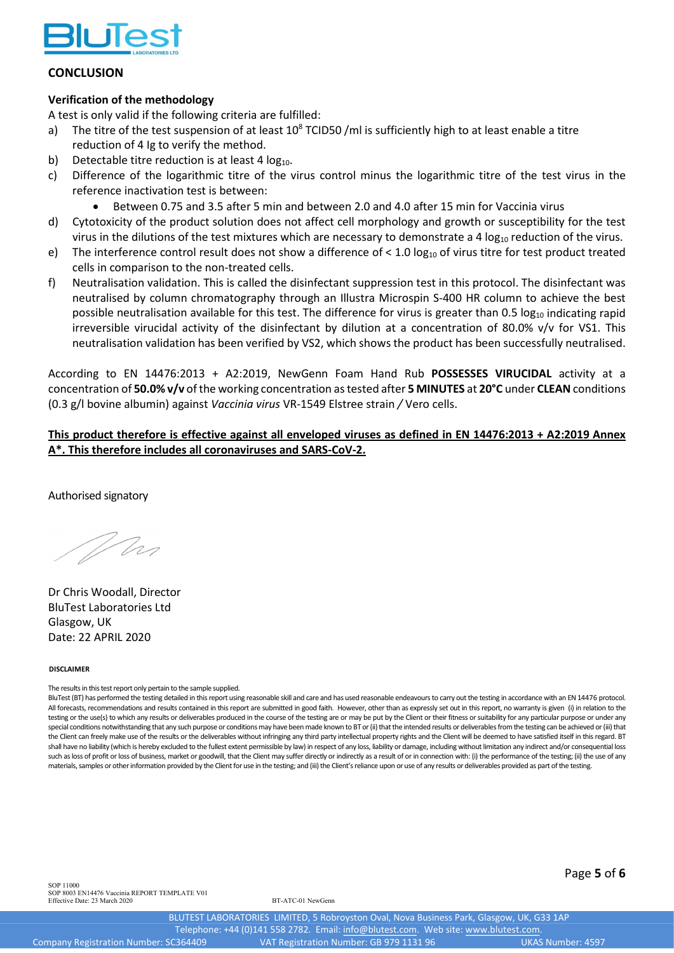

## **CONCLUSION**

## **Verification of the methodology**

A test is only valid if the following criteria are fulfilled:

- a) The titre of the test suspension of at least  $10^8$  TCID50 /ml is sufficiently high to at least enable a titre reduction of 4 Ig to verify the method.
- b) Detectable titre reduction is at least 4  $log_{10}$ .
- c) Difference of the logarithmic titre of the virus control minus the logarithmic titre of the test virus in the reference inactivation test is between:
	- Between 0.75 and 3.5 after 5 min and between 2.0 and 4.0 after 15 min for Vaccinia virus
- d) Cytotoxicity of the product solution does not affect cell morphology and growth or susceptibility for the test virus in the dilutions of the test mixtures which are necessary to demonstrate a 4  $\log_{10}$  reduction of the virus.
- e) The interference control result does not show a difference of < 1.0  $log_{10}$  of virus titre for test product treated cells in comparison to the non-treated cells.
- f) Neutralisation validation. This is called the disinfectant suppression test in this protocol. The disinfectant was neutralised by column chromatography through an Illustra Microspin S-400 HR column to achieve the best possible neutralisation available for this test. The difference for virus is greater than 0.5 log<sub>10</sub> indicating rapid irreversible virucidal activity of the disinfectant by dilution at a concentration of 80.0% v/v for VS1. This neutralisation validation has been verified by VS2, which shows the product has been successfully neutralised.

According to EN 14476:2013 + A2:2019, NewGenn Foam Hand Rub **POSSESSES VIRUCIDAL** activity at a concentration of **50.0% v/v** of the working concentration as tested after **5 MINUTES** at **20°C** under **CLEAN** conditions (0.3 g/l bovine albumin) against *Vaccinia virus* VR-1549 Elstree strain */* Vero cells.

## **This product therefore is effective against all enveloped viruses as defined in EN 14476:2013 + A2:2019 Annex A\*. This therefore includes all coronaviruses and SARS-CoV-2.**

Authorised signatory

Whi

Dr Chris Woodall, Director BluTest Laboratories Ltd Glasgow, UK Date: 22 APRIL 2020

### **DISCLAIMER**

The results in this test report only pertain to the sample supplied.

BluTest (BT) has performed the testing detailed in this report using reasonable skill and care and has used reasonable endeavours to carry out the testing in accordance with an EN 14476 protocol. All forecasts, recommendations and results contained in this report are submitted in good faith. However, other than as expressly set out in this report, no warranty is given (i) in relation to the testing or the use(s) to which any results or deliverables produced in the course of the testing are or may be put by the Client or their fitness or suitability for any particular purpose or under any special conditions notwithstanding that any such purpose or conditions may have been made known to BT or (ii) that the intended results or deliverables from the testing can be achieved or (iii) that the Client can freely make use of the results or the deliverables without infringing any third party intellectual property rights and the Client will be deemed to have satisfied itself in this regard. BT shall have no liability (which is hereby excluded to the fullest extent permissible by law) in respect of any loss, liability or damage, including without limitation any indirect and/or consequential loss such as loss of profit or loss of business, market or goodwill, that the Client may suffer directly or indirectly as a result of or in connection with: (i) the performance of the testing; (ii) the use of any materials, samples or other information provided by the Client for use in the testing; and (iii) the Client's reliance upon or use of any results or deliverables provided as part of the testing.

SOP 11000 SOP 8003 EN14476 Vaccinia REPORT TEMPLATE V01 Effective Date: 23 March 2020 BT-ATC-01 NewGenn

Page **5** of **6**